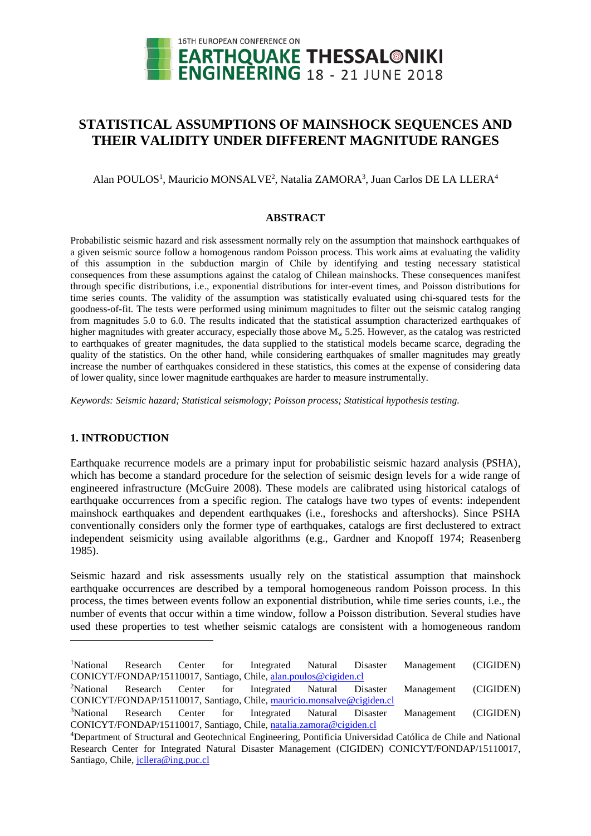

# **STATISTICAL ASSUMPTIONS OF MAINSHOCK SEQUENCES AND THEIR VALIDITY UNDER DIFFERENT MAGNITUDE RANGES**

Alan POULOS<sup>1</sup>, Mauricio MONSALVE<sup>2</sup>, Natalia ZAMORA<sup>3</sup>, Juan Carlos DE LA LLERA<sup>4</sup>

#### **ABSTRACT**

Probabilistic seismic hazard and risk assessment normally rely on the assumption that mainshock earthquakes of a given seismic source follow a homogenous random Poisson process. This work aims at evaluating the validity of this assumption in the subduction margin of Chile by identifying and testing necessary statistical consequences from these assumptions against the catalog of Chilean mainshocks. These consequences manifest through specific distributions, i.e., exponential distributions for inter-event times, and Poisson distributions for time series counts. The validity of the assumption was statistically evaluated using chi-squared tests for the goodness-of-fit. The tests were performed using minimum magnitudes to filter out the seismic catalog ranging from magnitudes 5.0 to 6.0. The results indicated that the statistical assumption characterized earthquakes of higher magnitudes with greater accuracy, especially those above  $M_w$  5.25. However, as the catalog was restricted to earthquakes of greater magnitudes, the data supplied to the statistical models became scarce, degrading the quality of the statistics. On the other hand, while considering earthquakes of smaller magnitudes may greatly increase the number of earthquakes considered in these statistics, this comes at the expense of considering data of lower quality, since lower magnitude earthquakes are harder to measure instrumentally.

*Keywords: Seismic hazard; Statistical seismology; Poisson process; Statistical hypothesis testing.*

# **1. INTRODUCTION**

l

Earthquake recurrence models are a primary input for probabilistic seismic hazard analysis (PSHA), which has become a standard procedure for the selection of seismic design levels for a wide range of engineered infrastructure (McGuire 2008). These models are calibrated using historical catalogs of earthquake occurrences from a specific region. The catalogs have two types of events: independent mainshock earthquakes and dependent earthquakes (i.e., foreshocks and aftershocks). Since PSHA conventionally considers only the former type of earthquakes, catalogs are first declustered to extract independent seismicity using available algorithms (e.g., Gardner and Knopoff 1974; Reasenberg 1985).

Seismic hazard and risk assessments usually rely on the statistical assumption that mainshock earthquake occurrences are described by a temporal homogeneous random Poisson process. In this process, the times between events follow an exponential distribution, while time series counts, i.e., the number of events that occur within a time window, follow a Poisson distribution. Several studies have used these properties to test whether seismic catalogs are consistent with a homogeneous random

<sup>&</sup>lt;sup>1</sup>National Research Center for Integrated Natural Disaster Management (CIGIDEN) CONICYT/FONDAP/15110017, Santiago, Chile[, alan.poulos@cigiden.cl](mailto:alan.poulos@cigiden.cl)

<sup>&</sup>lt;sup>2</sup>National Research Center for Integrated Natural Disaster Management (CIGIDEN) CONICYT/FONDAP/15110017, Santiago, Chile[, mauricio.monsalve@cigiden.cl](mailto:mauricio.monsalve@cigiden.cl)

<sup>&</sup>lt;sup>3</sup>National Research Center for Integrated Natural Disaster Management (CIGIDEN) CONICYT/FONDAP/15110017, Santiago, Chile[, natalia.zamora@](mailto:natalia.zamora@cigiden.cl)cigiden.cl

<sup>4</sup>Department of Structural and Geotechnical Engineering, Pontificia Universidad Católica de Chile and National Research Center for Integrated Natural Disaster Management (CIGIDEN) CONICYT/FONDAP/15110017, Santiago, Chile, jollera@ing.puc.cl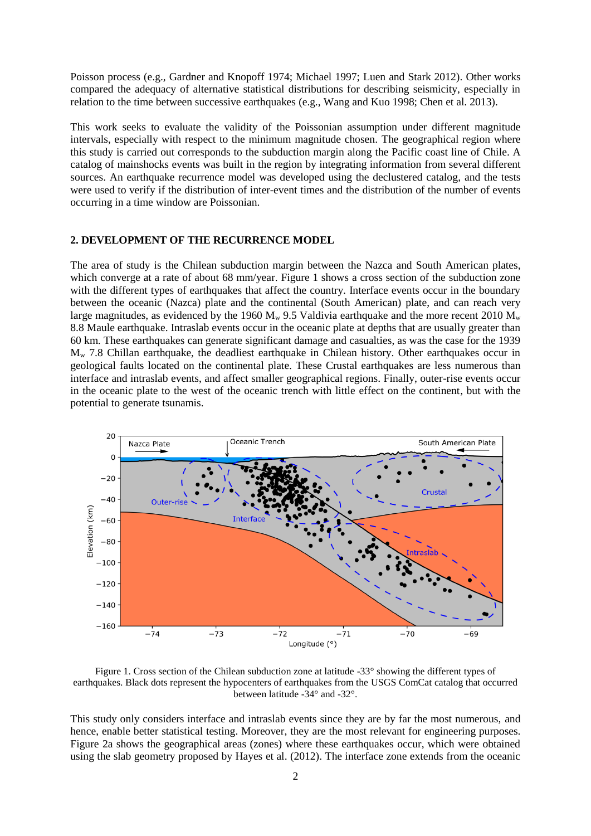Poisson process (e.g., Gardner and Knopoff 1974; Michael 1997; Luen and Stark 2012). Other works compared the adequacy of alternative statistical distributions for describing seismicity, especially in relation to the time between successive earthquakes (e.g., Wang and Kuo 1998; Chen et al. 2013).

This work seeks to evaluate the validity of the Poissonian assumption under different magnitude intervals, especially with respect to the minimum magnitude chosen. The geographical region where this study is carried out corresponds to the subduction margin along the Pacific coast line of Chile. A catalog of mainshocks events was built in the region by integrating information from several different sources. An earthquake recurrence model was developed using the declustered catalog, and the tests were used to verify if the distribution of inter-event times and the distribution of the number of events occurring in a time window are Poissonian.

#### **2. DEVELOPMENT OF THE RECURRENCE MODEL**

The area of study is the Chilean subduction margin between the Nazca and South American plates, which converge at a rate of about 68 mm/year. Figure 1 shows a cross section of the subduction zone with the different types of earthquakes that affect the country. Interface events occur in the boundary between the oceanic (Nazca) plate and the continental (South American) plate, and can reach very large magnitudes, as evidenced by the 1960  $M_w$  9.5 Valdivia earthquake and the more recent 2010  $M_w$ 8.8 Maule earthquake. Intraslab events occur in the oceanic plate at depths that are usually greater than 60 km. These earthquakes can generate significant damage and casualties, as was the case for the 1939 M<sup>w</sup> 7.8 Chillan earthquake, the deadliest earthquake in Chilean history. Other earthquakes occur in geological faults located on the continental plate. These Crustal earthquakes are less numerous than interface and intraslab events, and affect smaller geographical regions. Finally, outer-rise events occur in the oceanic plate to the west of the oceanic trench with little effect on the continent, but with the potential to generate tsunamis.



Figure 1. Cross section of the Chilean subduction zone at latitude -33° showing the different types of earthquakes. Black dots represent the hypocenters of earthquakes from the USGS ComCat catalog that occurred between latitude -34° and -32°.

This study only considers interface and intraslab events since they are by far the most numerous, and hence, enable better statistical testing. Moreover, they are the most relevant for engineering purposes. Figure 2a shows the geographical areas (zones) where these earthquakes occur, which were obtained using the slab geometry proposed by Hayes et al. (2012). The interface zone extends from the oceanic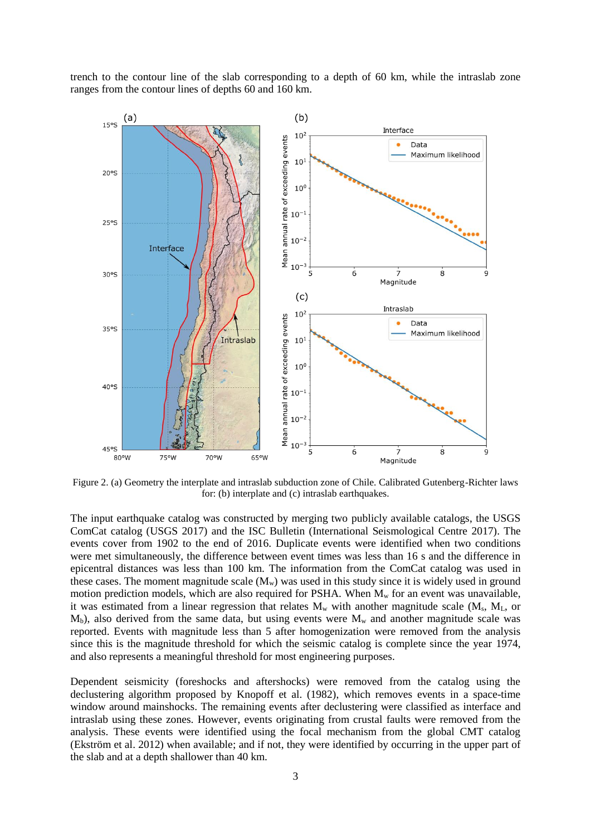trench to the contour line of the slab corresponding to a depth of 60 km, while the intraslab zone ranges from the contour lines of depths 60 and 160 km.



Figure 2. (a) Geometry the interplate and intraslab subduction zone of Chile. Calibrated Gutenberg-Richter laws for: (b) interplate and (c) intraslab earthquakes.

The input earthquake catalog was constructed by merging two publicly available catalogs, the USGS ComCat catalog (USGS 2017) and the ISC Bulletin (International Seismological Centre 2017). The events cover from 1902 to the end of 2016. Duplicate events were identified when two conditions were met simultaneously, the difference between event times was less than 16 s and the difference in epicentral distances was less than 100 km. The information from the ComCat catalog was used in these cases. The moment magnitude scale  $(M_w)$  was used in this study since it is widely used in ground motion prediction models, which are also required for PSHA. When  $M_w$  for an event was unavailable, it was estimated from a linear regression that relates  $M_w$  with another magnitude scale  $(M_s, M_L, \text{ or }$  $M_b$ ), also derived from the same data, but using events were  $M_w$  and another magnitude scale was reported. Events with magnitude less than 5 after homogenization were removed from the analysis since this is the magnitude threshold for which the seismic catalog is complete since the year 1974, and also represents a meaningful threshold for most engineering purposes.

Dependent seismicity (foreshocks and aftershocks) were removed from the catalog using the declustering algorithm proposed by Knopoff et al. (1982), which removes events in a space-time window around mainshocks. The remaining events after declustering were classified as interface and intraslab using these zones. However, events originating from crustal faults were removed from the analysis. These events were identified using the focal mechanism from the global CMT catalog (Ekström et al. 2012) when available; and if not, they were identified by occurring in the upper part of the slab and at a depth shallower than 40 km.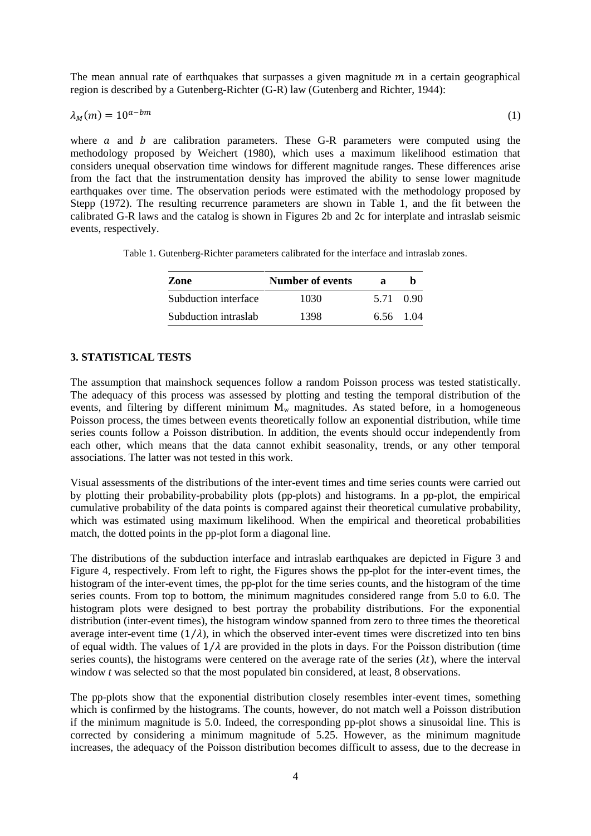The mean annual rate of earthquakes that surpasses a given magnitude  $m$  in a certain geographical region is described by a Gutenberg-Richter (G-R) law (Gutenberg and Richter, 1944):

$$
\lambda_M(m) = 10^{a-bm} \tag{1}
$$

where  $\alpha$  and  $\dot{b}$  are calibration parameters. These G-R parameters were computed using the methodology proposed by Weichert (1980), which uses a maximum likelihood estimation that considers unequal observation time windows for different magnitude ranges. These differences arise from the fact that the instrumentation density has improved the ability to sense lower magnitude earthquakes over time. The observation periods were estimated with the methodology proposed by Stepp (1972). The resulting recurrence parameters are shown in Table 1, and the fit between the calibrated G-R laws and the catalog is shown in Figures 2b and 2c for interplate and intraslab seismic events, respectively.

Table 1. Gutenberg-Richter parameters calibrated for the interface and intraslab zones.

| Zone                 | Number of events | я         |           |
|----------------------|------------------|-----------|-----------|
| Subduction interface | 1030             |           | 5.71 0.90 |
| Subduction intraslab | 1398             | 6.56 1.04 |           |

# **3. STATISTICAL TESTS**

The assumption that mainshock sequences follow a random Poisson process was tested statistically. The adequacy of this process was assessed by plotting and testing the temporal distribution of the events, and filtering by different minimum  $M_w$  magnitudes. As stated before, in a homogeneous Poisson process, the times between events theoretically follow an exponential distribution, while time series counts follow a Poisson distribution. In addition, the events should occur independently from each other, which means that the data cannot exhibit seasonality, trends, or any other temporal associations. The latter was not tested in this work.

Visual assessments of the distributions of the inter-event times and time series counts were carried out by plotting their probability-probability plots (pp-plots) and histograms. In a pp-plot, the empirical cumulative probability of the data points is compared against their theoretical cumulative probability, which was estimated using maximum likelihood. When the empirical and theoretical probabilities match, the dotted points in the pp-plot form a diagonal line.

The distributions of the subduction interface and intraslab earthquakes are depicted in Figure 3 and Figure 4, respectively. From left to right, the Figures shows the pp-plot for the inter-event times, the histogram of the inter-event times, the pp-plot for the time series counts, and the histogram of the time series counts. From top to bottom, the minimum magnitudes considered range from 5.0 to 6.0. The histogram plots were designed to best portray the probability distributions. For the exponential distribution (inter-event times), the histogram window spanned from zero to three times the theoretical average inter-event time  $(1/\lambda)$ , in which the observed inter-event times were discretized into ten bins of equal width. The values of  $1/\lambda$  are provided in the plots in days. For the Poisson distribution (time series counts), the histograms were centered on the average rate of the series  $(\lambda t)$ , where the interval window *t* was selected so that the most populated bin considered, at least, 8 observations.

The pp-plots show that the exponential distribution closely resembles inter-event times, something which is confirmed by the histograms. The counts, however, do not match well a Poisson distribution if the minimum magnitude is 5.0. Indeed, the corresponding pp-plot shows a sinusoidal line. This is corrected by considering a minimum magnitude of 5.25. However, as the minimum magnitude increases, the adequacy of the Poisson distribution becomes difficult to assess, due to the decrease in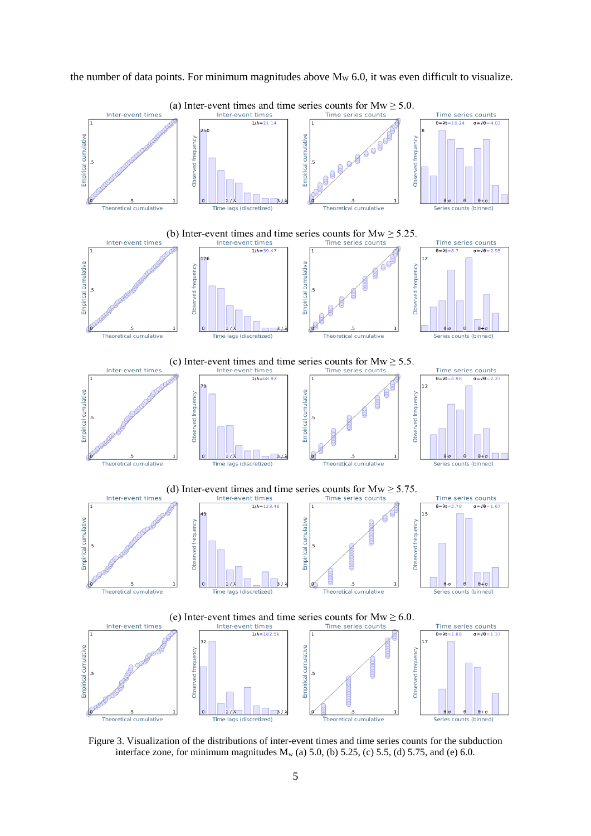

the number of data points. For minimum magnitudes above  $M_W$  6.0, it was even difficult to visualize.

Figure 3. Visualization of the distributions of inter-event times and time series counts for the subduction interface zone, for minimum magnitudes  $M_w$  (a) 5.0, (b) 5.25, (c) 5.5, (d) 5.75, and (e) 6.0.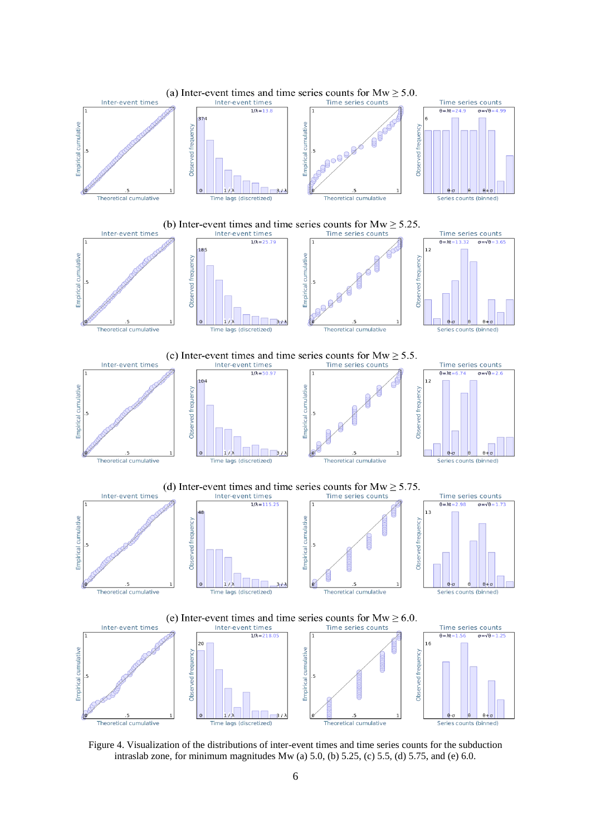

Figure 4. Visualization of the distributions of inter-event times and time series counts for the subduction intraslab zone, for minimum magnitudes  $Mw$  (a) 5.0, (b) 5.25, (c) 5.5, (d) 5.75, and (e) 6.0.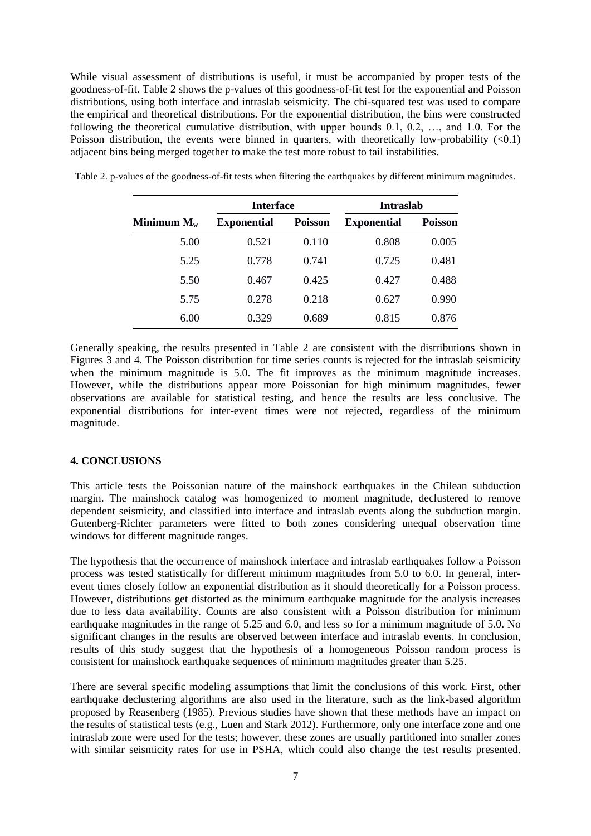While visual assessment of distributions is useful, it must be accompanied by proper tests of the goodness-of-fit. Table 2 shows the p-values of this goodness-of-fit test for the exponential and Poisson distributions, using both interface and intraslab seismicity. The chi-squared test was used to compare the empirical and theoretical distributions. For the exponential distribution, the bins were constructed following the theoretical cumulative distribution, with upper bounds 0.1, 0.2, …, and 1.0. For the Poisson distribution, the events were binned in quarters, with theoretically low-probability  $\langle 0.1 \rangle$ adjacent bins being merged together to make the test more robust to tail instabilities.

|               | <b>Interface</b>   |                | <b>Intraslab</b>   |                |
|---------------|--------------------|----------------|--------------------|----------------|
| Minimum $M_w$ | <b>Exponential</b> | <b>Poisson</b> | <b>Exponential</b> | <b>Poisson</b> |
| 5.00          | 0.521              | 0.110          | 0.808              | 0.005          |
| 5.25          | 0.778              | 0.741          | 0.725              | 0.481          |
| 5.50          | 0.467              | 0.425          | 0.427              | 0.488          |
| 5.75          | 0.278              | 0.218          | 0.627              | 0.990          |
| 6.00          | 0.329              | 0.689          | 0.815              | 0.876          |

Table 2. p-values of the goodness-of-fit tests when filtering the earthquakes by different minimum magnitudes.

Generally speaking, the results presented in Table 2 are consistent with the distributions shown in Figures 3 and 4. The Poisson distribution for time series counts is rejected for the intraslab seismicity when the minimum magnitude is 5.0. The fit improves as the minimum magnitude increases. However, while the distributions appear more Poissonian for high minimum magnitudes, fewer observations are available for statistical testing, and hence the results are less conclusive. The exponential distributions for inter-event times were not rejected, regardless of the minimum magnitude.

#### **4. CONCLUSIONS**

This article tests the Poissonian nature of the mainshock earthquakes in the Chilean subduction margin. The mainshock catalog was homogenized to moment magnitude, declustered to remove dependent seismicity, and classified into interface and intraslab events along the subduction margin. Gutenberg-Richter parameters were fitted to both zones considering unequal observation time windows for different magnitude ranges.

The hypothesis that the occurrence of mainshock interface and intraslab earthquakes follow a Poisson process was tested statistically for different minimum magnitudes from 5.0 to 6.0. In general, interevent times closely follow an exponential distribution as it should theoretically for a Poisson process. However, distributions get distorted as the minimum earthquake magnitude for the analysis increases due to less data availability. Counts are also consistent with a Poisson distribution for minimum earthquake magnitudes in the range of 5.25 and 6.0, and less so for a minimum magnitude of 5.0. No significant changes in the results are observed between interface and intraslab events. In conclusion, results of this study suggest that the hypothesis of a homogeneous Poisson random process is consistent for mainshock earthquake sequences of minimum magnitudes greater than 5.25.

There are several specific modeling assumptions that limit the conclusions of this work. First, other earthquake declustering algorithms are also used in the literature, such as the link-based algorithm proposed by Reasenberg (1985). Previous studies have shown that these methods have an impact on the results of statistical tests (e.g., Luen and Stark 2012). Furthermore, only one interface zone and one intraslab zone were used for the tests; however, these zones are usually partitioned into smaller zones with similar seismicity rates for use in PSHA, which could also change the test results presented.